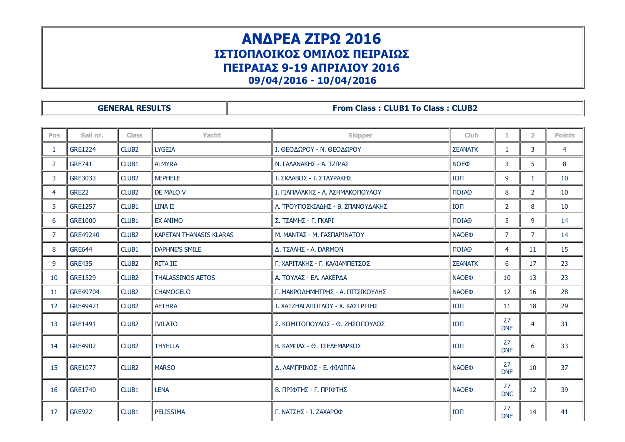## ΑΝΔΡΕΑ ΖΙΡΩ 2016 ΙΣΤΙΟΠΛΟΙΚΟΣ ΟΜΙΛΟΣ ΠΕΙΡΑΙΩΣ ΠΕΙΡΑΙΑΣ 9-19 ΑΠΡΙΛΙΟΥ 2016

09/04/2016 10/04/2016

## GENERAL RESULTS **From Class : CLUB1 To Class : CLUB2**

| Pos            | Sail nr.       | <b>Class</b>      | Yacht                    | Skipper                           | <b>Club</b>                 | 1                | $\overline{2}$ | <b>Points</b> |
|----------------|----------------|-------------------|--------------------------|-----------------------------------|-----------------------------|------------------|----------------|---------------|
| 1              | <b>GRE1224</b> | CLUB <sub>2</sub> | <b>LYGEIA</b>            | Ι. ΘΕΟΔΩΡΟΥ - Ν. ΘΕΟΔΩΡΟΥ         | <b>ΣΕΑΝΑΤΚ</b>              | $\mathbf{1}$     | 3              | 4             |
| $\overline{2}$ | <b>GRE741</b>  | CLUB1             | <b>ALMYRA</b>            | Ν. ΓΑΛΑΝΑΚΗΣ - Α. ΤΖΙΡΑΣ          | <b>NOE</b> <sup></sup>      | 3                | 5              | 8             |
| 3              | GRE3033        | CLUB <sub>2</sub> | <b>NEPHELE</b>           | Ι. ΣΚΛΑΒΟΣ - Ι. ΣΤΑΥΡΑΚΗΣ         | <b>ION</b>                  | 9                | $\mathbf{1}$   | 10            |
| 4              | GRE22          | CLUB <sub>2</sub> | DE MALO V                | Ι. ΓΙΑΠΑΛΑΚΗΣ - Α. ΑΣΗΜΑΚΟΠΟΥΛΟΥ  | $\Box$                      | 8                | 2              | 10            |
| 5              | <b>GRE1257</b> | CLUB1             | LINA II                  | Λ. ΤΡΟΥΠΟΣΚΙΑΔΗΣ - Β. ΣΠΑΝΟΥΔΑΚΗΣ | <b>ION</b>                  | $\overline{2}$   | 8              | 10            |
| 6              | <b>GRE1000</b> | CLUB1             | <b>EX ANIMO</b>          | Σ. ΤΣΑΜΗΣ - Γ. ΓΚΑΡΙ              | $\overline{101}$ A $\Theta$ | 5                | 9              | 14            |
| 7              | GRE49240       | CLUB <sub>2</sub> | KAPETAN THANASIS KLARAS  | Μ. ΜΑΝΤΑΣ - Μ. ΓΑΣΠΑΡΙΝΑΤΟΥ       | <b>NAOE®</b>                | $\overline{7}$   | $\overline{7}$ | 14            |
| 8              | <b>GRE644</b>  | CLUB1             | <b>DAPHNE'S SMILE</b>    | Δ. ΤΣΑΛΗΣ - Α. DARMON             | $\overline{101}$ A $\Theta$ | 4                | 11             | 15            |
| 9              | <b>GRE435</b>  | CLUB <sub>2</sub> | <b>RITA III</b>          | Γ. ΧΑΡΙΤΑΚΗΣ - Γ. ΚΑΛΙΑΜΠΕΤΣΟΣ    | <b>ΣΕΑΝΑΤΚ</b>              | 6                | 17             | 23            |
| 10             | <b>GRE1529</b> | CLUB <sub>2</sub> | <b>THALASSINOS AETOS</b> | Α. ΤΟΥΛΑΣ - ΕΛ. ΛΑΚΕΡΔΑ           | <b>NAOEO</b>                | 10               | 13             | 23            |
| 11             | GRE49704       | CLUB <sub>2</sub> | <b>CHAMOGELO</b>         | Γ. ΜΑΚΡΟΔΗΜΗΤΡΗΣ - Α. ΠΙΤΣΙΚΟΥΛΗΣ | <b>NAOE</b> <sup></sup>     | 12               | 16             | 28            |
| 12             | GRE49421       | CLUB <sub>2</sub> | <b>AETHRA</b>            | Ι. ΧΑΤΖΗΑΓΑΠΟΓΛΟΥ - Χ. ΚΑΣΤΡΙΤΗΣ  | $I$ O $\Pi$                 | 11               | 18             | 29            |
| 13             | <b>GRE1491</b> | CLUB <sub>2</sub> | <b>IVILATO</b>           | Σ. ΚΟΜΙΤΟΠΟΥΛΟΣ - Θ. ΖΗΣΟΠΟΥΛΟΣ   | <b>ION</b>                  | 27<br><b>DNF</b> | $\overline{4}$ | 31            |
| 14             | <b>GRE4902</b> | CLUB <sub>2</sub> | <b>THYELLA</b>           | Β. ΚΑΜΠΑΣ - Θ. ΤΣΕΛΕΜΑΡΚΟΣ        | <b>ION</b>                  | 27<br><b>DNF</b> | 6              | 33            |
| 15             | <b>GRE1077</b> | CLUB <sub>2</sub> | <b>MARSO</b>             | Δ. ΛΑΜΠΡΙΝΟΣ - Ε. ΦΙΛΙΠΠΑ         | <b>NAOE</b> <sup></sup>     | 27<br><b>DNF</b> | 10             | 37            |
| 16             | <b>GRE1740</b> | CLUB1             | <b>LENA</b>              | Β. ΠΡΙΦΤΗΣ - Γ. ΠΡΙΦΤΗΣ           | <b>NAOE</b> <sup></sup>     | 27<br><b>DNC</b> | 12             | 39            |
| 17             | <b>GRE922</b>  | CLUB1             | PELISSIMA                | Γ. ΝΑΤΣΗΣ - Ι. ΖΑΧΑΡΩΦ            | <b>ION</b>                  | 27<br><b>DNF</b> | 14             | 41            |